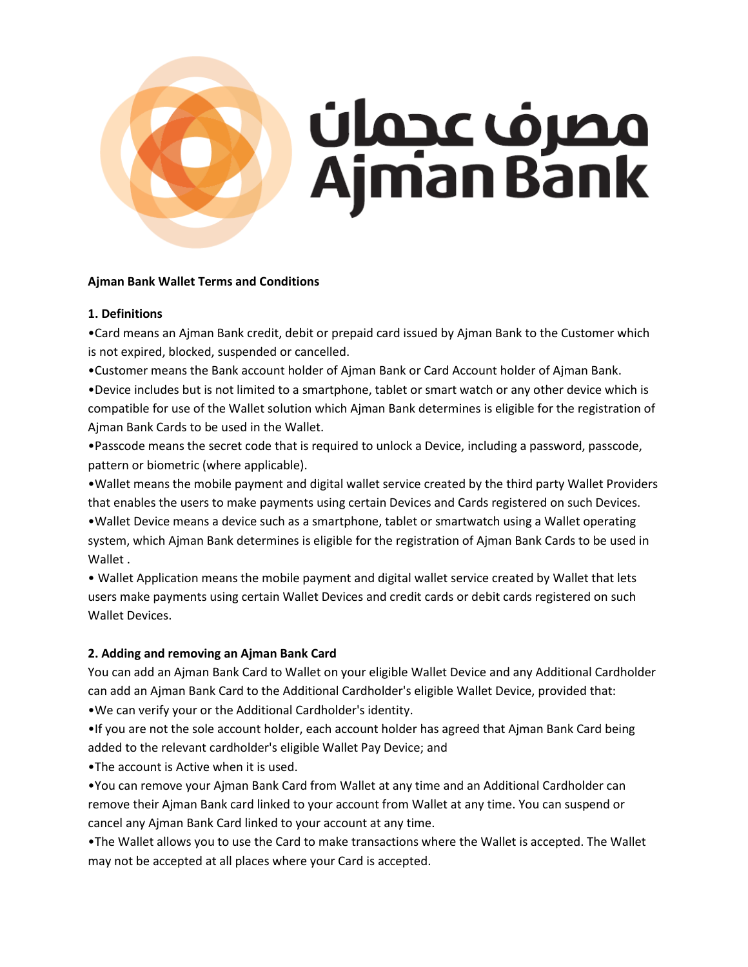

### **Ajman Bank Wallet Terms and Conditions**

#### **1. Definitions**

•Card means an Ajman Bank credit, debit or prepaid card issued by Ajman Bank to the Customer which is not expired, blocked, suspended or cancelled.

•Customer means the Bank account holder of Ajman Bank or Card Account holder of Ajman Bank.

•Device includes but is not limited to a smartphone, tablet or smart watch or any other device which is compatible for use of the Wallet solution which Ajman Bank determines is eligible for the registration of Ajman Bank Cards to be used in the Wallet.

•Passcode means the secret code that is required to unlock a Device, including a password, passcode, pattern or biometric (where applicable).

•Wallet means the mobile payment and digital wallet service created by the third party Wallet Providers that enables the users to make payments using certain Devices and Cards registered on such Devices. •Wallet Device means a device such as a smartphone, tablet or smartwatch using a Wallet operating system, which Ajman Bank determines is eligible for the registration of Ajman Bank Cards to be used in Wallet .

• Wallet Application means the mobile payment and digital wallet service created by Wallet that lets users make payments using certain Wallet Devices and credit cards or debit cards registered on such Wallet Devices.

## **2. Adding and removing an Ajman Bank Card**

You can add an Ajman Bank Card to Wallet on your eligible Wallet Device and any Additional Cardholder can add an Ajman Bank Card to the Additional Cardholder's eligible Wallet Device, provided that: •We can verify your or the Additional Cardholder's identity.

•If you are not the sole account holder, each account holder has agreed that Ajman Bank Card being added to the relevant cardholder's eligible Wallet Pay Device; and

•The account is Active when it is used.

•You can remove your Ajman Bank Card from Wallet at any time and an Additional Cardholder can remove their Ajman Bank card linked to your account from Wallet at any time. You can suspend or cancel any Ajman Bank Card linked to your account at any time.

•The Wallet allows you to use the Card to make transactions where the Wallet is accepted. The Wallet may not be accepted at all places where your Card is accepted.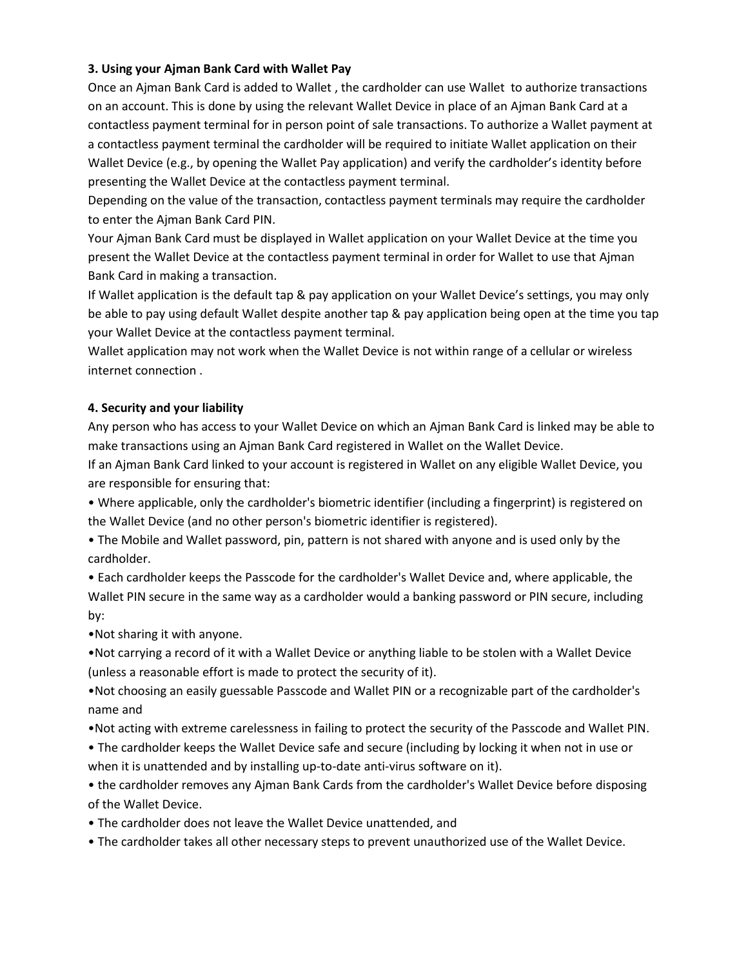### **3. Using your Ajman Bank Card with Wallet Pay**

Once an Ajman Bank Card is added to Wallet , the cardholder can use Wallet to authorize transactions on an account. This is done by using the relevant Wallet Device in place of an Ajman Bank Card at a contactless payment terminal for in person point of sale transactions. To authorize a Wallet payment at a contactless payment terminal the cardholder will be required to initiate Wallet application on their Wallet Device (e.g., by opening the Wallet Pay application) and verify the cardholder's identity before presenting the Wallet Device at the contactless payment terminal.

Depending on the value of the transaction, contactless payment terminals may require the cardholder to enter the Ajman Bank Card PIN.

Your Ajman Bank Card must be displayed in Wallet application on your Wallet Device at the time you present the Wallet Device at the contactless payment terminal in order for Wallet to use that Ajman Bank Card in making a transaction.

If Wallet application is the default tap & pay application on your Wallet Device's settings, you may only be able to pay using default Wallet despite another tap & pay application being open at the time you tap your Wallet Device at the contactless payment terminal.

Wallet application may not work when the Wallet Device is not within range of a cellular or wireless internet connection .

#### **4. Security and your liability**

Any person who has access to your Wallet Device on which an Ajman Bank Card is linked may be able to make transactions using an Ajman Bank Card registered in Wallet on the Wallet Device.

If an Ajman Bank Card linked to your account is registered in Wallet on any eligible Wallet Device, you are responsible for ensuring that:

• Where applicable, only the cardholder's biometric identifier (including a fingerprint) is registered on the Wallet Device (and no other person's biometric identifier is registered).

• The Mobile and Wallet password, pin, pattern is not shared with anyone and is used only by the cardholder.

• Each cardholder keeps the Passcode for the cardholder's Wallet Device and, where applicable, the Wallet PIN secure in the same way as a cardholder would a banking password or PIN secure, including by:

•Not sharing it with anyone.

•Not carrying a record of it with a Wallet Device or anything liable to be stolen with a Wallet Device (unless a reasonable effort is made to protect the security of it).

•Not choosing an easily guessable Passcode and Wallet PIN or a recognizable part of the cardholder's name and

- •Not acting with extreme carelessness in failing to protect the security of the Passcode and Wallet PIN.
- The cardholder keeps the Wallet Device safe and secure (including by locking it when not in use or when it is unattended and by installing up-to-date anti-virus software on it).

• the cardholder removes any Ajman Bank Cards from the cardholder's Wallet Device before disposing of the Wallet Device.

- The cardholder does not leave the Wallet Device unattended, and
- The cardholder takes all other necessary steps to prevent unauthorized use of the Wallet Device.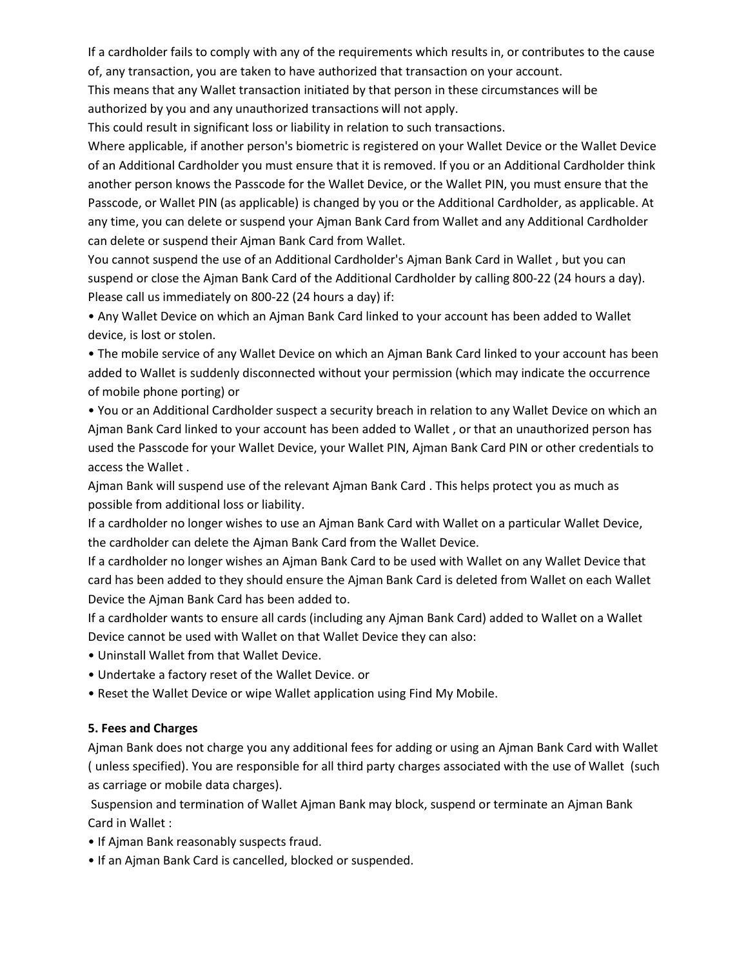If a cardholder fails to comply with any of the requirements which results in, or contributes to the cause of, any transaction, you are taken to have authorized that transaction on your account.

This means that any Wallet transaction initiated by that person in these circumstances will be authorized by you and any unauthorized transactions will not apply.

This could result in significant loss or liability in relation to such transactions.

Where applicable, if another person's biometric is registered on your Wallet Device or the Wallet Device of an Additional Cardholder you must ensure that it is removed. If you or an Additional Cardholder think another person knows the Passcode for the Wallet Device, or the Wallet PIN, you must ensure that the Passcode, or Wallet PIN (as applicable) is changed by you or the Additional Cardholder, as applicable. At any time, you can delete or suspend your Ajman Bank Card from Wallet and any Additional Cardholder can delete or suspend their Ajman Bank Card from Wallet.

You cannot suspend the use of an Additional Cardholder's Ajman Bank Card in Wallet , but you can suspend or close the Ajman Bank Card of the Additional Cardholder by calling 800-22 (24 hours a day). Please call us immediately on 800-22 (24 hours a day) if:

• Any Wallet Device on which an Ajman Bank Card linked to your account has been added to Wallet device, is lost or stolen.

• The mobile service of any Wallet Device on which an Ajman Bank Card linked to your account has been added to Wallet is suddenly disconnected without your permission (which may indicate the occurrence of mobile phone porting) or

• You or an Additional Cardholder suspect a security breach in relation to any Wallet Device on which an Ajman Bank Card linked to your account has been added to Wallet , or that an unauthorized person has used the Passcode for your Wallet Device, your Wallet PIN, Ajman Bank Card PIN or other credentials to access the Wallet .

Ajman Bank will suspend use of the relevant Ajman Bank Card . This helps protect you as much as possible from additional loss or liability.

If a cardholder no longer wishes to use an Ajman Bank Card with Wallet on a particular Wallet Device, the cardholder can delete the Ajman Bank Card from the Wallet Device.

If a cardholder no longer wishes an Ajman Bank Card to be used with Wallet on any Wallet Device that card has been added to they should ensure the Ajman Bank Card is deleted from Wallet on each Wallet Device the Ajman Bank Card has been added to.

If a cardholder wants to ensure all cards (including any Ajman Bank Card) added to Wallet on a Wallet Device cannot be used with Wallet on that Wallet Device they can also:

- Uninstall Wallet from that Wallet Device.
- Undertake a factory reset of the Wallet Device. or
- Reset the Wallet Device or wipe Wallet application using Find My Mobile.

#### **5. Fees and Charges**

Ajman Bank does not charge you any additional fees for adding or using an Ajman Bank Card with Wallet ( unless specified). You are responsible for all third party charges associated with the use of Wallet (such as carriage or mobile data charges).

Suspension and termination of Wallet Ajman Bank may block, suspend or terminate an Ajman Bank Card in Wallet :

- If Ajman Bank reasonably suspects fraud.
- If an Ajman Bank Card is cancelled, blocked or suspended.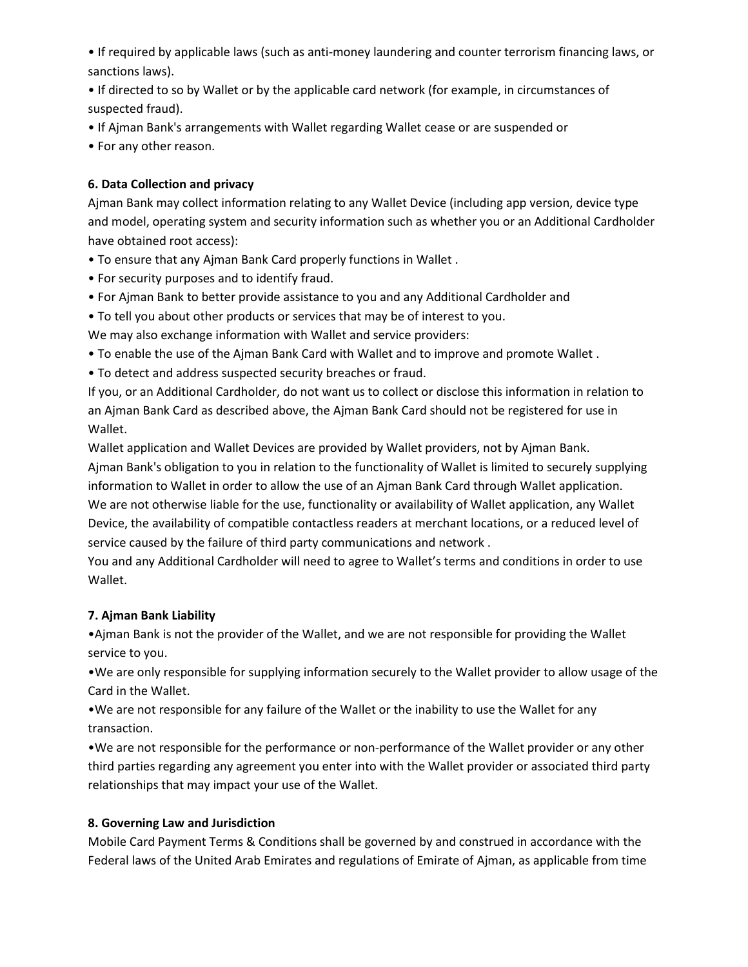• If required by applicable laws (such as anti-money laundering and counter terrorism financing laws, or sanctions laws).

• If directed to so by Wallet or by the applicable card network (for example, in circumstances of suspected fraud).

• If Ajman Bank's arrangements with Wallet regarding Wallet cease or are suspended or

• For any other reason.

# **6. Data Collection and privacy**

Ajman Bank may collect information relating to any Wallet Device (including app version, device type and model, operating system and security information such as whether you or an Additional Cardholder have obtained root access):

- To ensure that any Ajman Bank Card properly functions in Wallet .
- For security purposes and to identify fraud.
- For Ajman Bank to better provide assistance to you and any Additional Cardholder and

• To tell you about other products or services that may be of interest to you.

We may also exchange information with Wallet and service providers:

- To enable the use of the Ajman Bank Card with Wallet and to improve and promote Wallet .
- To detect and address suspected security breaches or fraud.

If you, or an Additional Cardholder, do not want us to collect or disclose this information in relation to an Ajman Bank Card as described above, the Ajman Bank Card should not be registered for use in Wallet.

Wallet application and Wallet Devices are provided by Wallet providers, not by Ajman Bank. Ajman Bank's obligation to you in relation to the functionality of Wallet is limited to securely supplying information to Wallet in order to allow the use of an Ajman Bank Card through Wallet application. We are not otherwise liable for the use, functionality or availability of Wallet application, any Wallet Device, the availability of compatible contactless readers at merchant locations, or a reduced level of service caused by the failure of third party communications and network .

You and any Additional Cardholder will need to agree to Wallet's terms and conditions in order to use Wallet.

## **7. Ajman Bank Liability**

•Ajman Bank is not the provider of the Wallet, and we are not responsible for providing the Wallet service to you.

•We are only responsible for supplying information securely to the Wallet provider to allow usage of the Card in the Wallet.

•We are not responsible for any failure of the Wallet or the inability to use the Wallet for any transaction.

•We are not responsible for the performance or non-performance of the Wallet provider or any other third parties regarding any agreement you enter into with the Wallet provider or associated third party relationships that may impact your use of the Wallet.

## **8. Governing Law and Jurisdiction**

Mobile Card Payment Terms & Conditions shall be governed by and construed in accordance with the Federal laws of the United Arab Emirates and regulations of Emirate of Ajman, as applicable from time